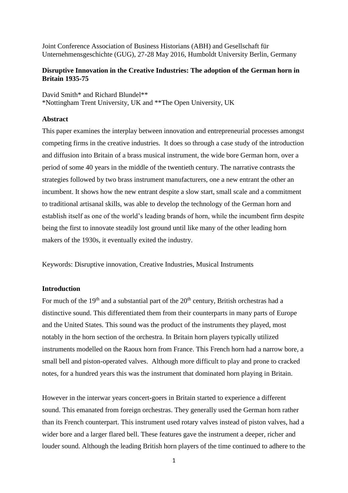Joint Conference Association of Business Historians (ABH) and Gesellschaft für Unternehmensgeschichte (GUG), 27-28 May 2016, Humboldt University Berlin, Germany

#### **Disruptive Innovation in the Creative Industries: The adoption of the German horn in Britain 1935-75**

David Smith\* and Richard Blundel\*\* \*Nottingham Trent University, UK and \*\*The Open University, UK

#### **Abstract**

This paper examines the interplay between innovation and entrepreneurial processes amongst competing firms in the creative industries. It does so through a case study of the introduction and diffusion into Britain of a brass musical instrument, the wide bore German horn, over a period of some 40 years in the middle of the twentieth century. The narrative contrasts the strategies followed by two brass instrument manufacturers, one a new entrant the other an incumbent. It shows how the new entrant despite a slow start, small scale and a commitment to traditional artisanal skills, was able to develop the technology of the German horn and establish itself as one of the world's leading brands of horn, while the incumbent firm despite being the first to innovate steadily lost ground until like many of the other leading horn makers of the 1930s, it eventually exited the industry.

Keywords: Disruptive innovation, Creative Industries, Musical Instruments

#### **Introduction**

For much of the 19<sup>th</sup> and a substantial part of the  $20<sup>th</sup>$  century, British orchestras had a distinctive sound. This differentiated them from their counterparts in many parts of Europe and the United States. This sound was the product of the instruments they played, most notably in the horn section of the orchestra. In Britain horn players typically utilized instruments modelled on the Raoux horn from France. This French horn had a narrow bore, a small bell and piston-operated valves. Although more difficult to play and prone to cracked notes, for a hundred years this was the instrument that dominated horn playing in Britain.

However in the interwar years concert-goers in Britain started to experience a different sound. This emanated from foreign orchestras. They generally used the German horn rather than its French counterpart. This instrument used rotary valves instead of piston valves, had a wider bore and a larger flared bell. These features gave the instrument a deeper, richer and louder sound. Although the leading British horn players of the time continued to adhere to the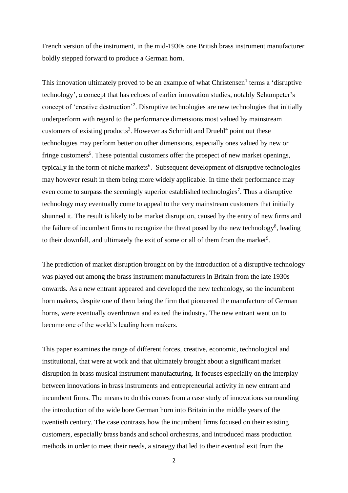French version of the instrument, in the mid-1930s one British brass instrument manufacturer boldly stepped forward to produce a German horn.

This innovation ultimately proved to be an example of what  $Christensen<sup>1</sup> terms a 'disruptive$ technology', a concept that has echoes of earlier innovation studies, notably Schumpeter's concept of 'creative destruction'<sup>2</sup> . Disruptive technologies are new technologies that initially underperform with regard to the performance dimensions most valued by mainstream customers of existing products<sup>3</sup>. However as Schmidt and Druehl<sup>4</sup> point out these technologies may perform better on other dimensions, especially ones valued by new or fringe customers<sup>5</sup>. These potential customers offer the prospect of new market openings, typically in the form of niche markets<sup>6</sup>. Subsequent development of disruptive technologies may however result in them being more widely applicable. In time their performance may even come to surpass the seemingly superior established technologies<sup>7</sup>. Thus a disruptive technology may eventually come to appeal to the very mainstream customers that initially shunned it. The result is likely to be market disruption, caused by the entry of new firms and the failure of incumbent firms to recognize the threat posed by the new technology<sup>8</sup>, leading to their downfall, and ultimately the exit of some or all of them from the market<sup>9</sup>.

The prediction of market disruption brought on by the introduction of a disruptive technology was played out among the brass instrument manufacturers in Britain from the late 1930s onwards. As a new entrant appeared and developed the new technology, so the incumbent horn makers, despite one of them being the firm that pioneered the manufacture of German horns, were eventually overthrown and exited the industry. The new entrant went on to become one of the world's leading horn makers.

This paper examines the range of different forces, creative, economic, technological and institutional, that were at work and that ultimately brought about a significant market disruption in brass musical instrument manufacturing. It focuses especially on the interplay between innovations in brass instruments and entrepreneurial activity in new entrant and incumbent firms. The means to do this comes from a case study of innovations surrounding the introduction of the wide bore German horn into Britain in the middle years of the twentieth century. The case contrasts how the incumbent firms focused on their existing customers, especially brass bands and school orchestras, and introduced mass production methods in order to meet their needs, a strategy that led to their eventual exit from the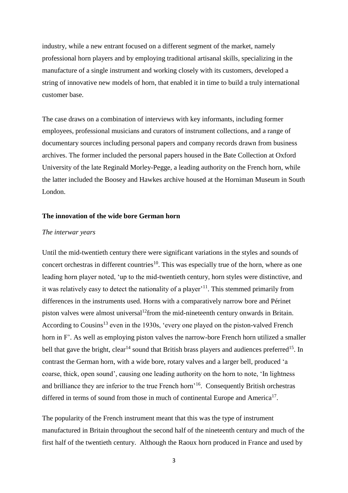industry, while a new entrant focused on a different segment of the market, namely professional horn players and by employing traditional artisanal skills, specializing in the manufacture of a single instrument and working closely with its customers, developed a string of innovative new models of horn, that enabled it in time to build a truly international customer base.

The case draws on a combination of interviews with key informants, including former employees, professional musicians and curators of instrument collections, and a range of documentary sources including personal papers and company records drawn from business archives. The former included the personal papers housed in the Bate Collection at Oxford University of the late Reginald Morley-Pegge, a leading authority on the French horn, while the latter included the Boosey and Hawkes archive housed at the Horniman Museum in South London.

#### **The innovation of the wide bore German horn**

#### *The interwar years*

Until the mid-twentieth century there were significant variations in the styles and sounds of concert orchestras in different countries<sup>10</sup>. This was especially true of the horn, where as one leading horn player noted, 'up to the mid-twentieth century, horn styles were distinctive, and it was relatively easy to detect the nationality of a player'<sup>11</sup>. This stemmed primarily from differences in the instruments used. Horns with a comparatively narrow bore and Périnet piston valves were almost universal<sup>12</sup> from the mid-nineteenth century onwards in Britain. According to Cousins<sup>13</sup> even in the 1930s, 'every one played on the piston-valved French horn in F'. As well as employing piston valves the narrow-bore French horn utilized a smaller bell that gave the bright, clear<sup>14</sup> sound that British brass players and audiences preferred<sup>15</sup>. In contrast the German horn, with a wide bore, rotary valves and a larger bell, produced 'a coarse, thick, open sound', causing one leading authority on the horn to note, 'In lightness and brilliance they are inferior to the true French horn<sup>'16</sup>. Consequently British orchestras differed in terms of sound from those in much of continental Europe and America<sup>17</sup>.

The popularity of the French instrument meant that this was the type of instrument manufactured in Britain throughout the second half of the nineteenth century and much of the first half of the twentieth century. Although the Raoux horn produced in France and used by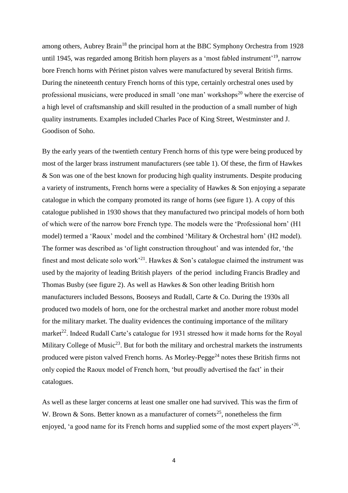among others, Aubrey Brain<sup>18</sup> the principal horn at the BBC Symphony Orchestra from 1928 until 1945, was regarded among British horn players as a 'most fabled instrument'<sup>19</sup>, narrow bore French horns with Périnet piston valves were manufactured by several British firms. During the nineteenth century French horns of this type, certainly orchestral ones used by professional musicians, were produced in small 'one man' workshops<sup>20</sup> where the exercise of a high level of craftsmanship and skill resulted in the production of a small number of high quality instruments. Examples included Charles Pace of King Street, Westminster and J. Goodison of Soho.

By the early years of the twentieth century French horns of this type were being produced by most of the larger brass instrument manufacturers (see table 1). Of these, the firm of Hawkes & Son was one of the best known for producing high quality instruments. Despite producing a variety of instruments, French horns were a speciality of Hawkes & Son enjoying a separate catalogue in which the company promoted its range of horns (see figure 1). A copy of this catalogue published in 1930 shows that they manufactured two principal models of horn both of which were of the narrow bore French type. The models were the 'Professional horn' (H1 model) termed a 'Raoux' model and the combined 'Military & Orchestral horn' (H2 model). The former was described as 'of light construction throughout' and was intended for, 'the finest and most delicate solo work<sup>21</sup>. Hawkes  $\&$  Son's catalogue claimed the instrument was used by the majority of leading British players of the period including Francis Bradley and Thomas Busby (see figure 2). As well as Hawkes & Son other leading British horn manufacturers included Bessons, Booseys and Rudall, Carte & Co. During the 1930s all produced two models of horn, one for the orchestral market and another more robust model for the military market. The duality evidences the continuing importance of the military market<sup>22</sup>. Indeed Rudall Carte's catalogue for 1931 stressed how it made horns for the Royal Military College of Music<sup>23</sup>. But for both the military and orchestral markets the instruments produced were piston valved French horns. As Morley-Pegge<sup>24</sup> notes these British firms not only copied the Raoux model of French horn, 'but proudly advertised the fact' in their catalogues.

As well as these larger concerns at least one smaller one had survived. This was the firm of W. Brown & Sons. Better known as a manufacturer of cornets<sup>25</sup>, nonetheless the firm enjoyed, 'a good name for its French horns and supplied some of the most expert players<sup>'26</sup>.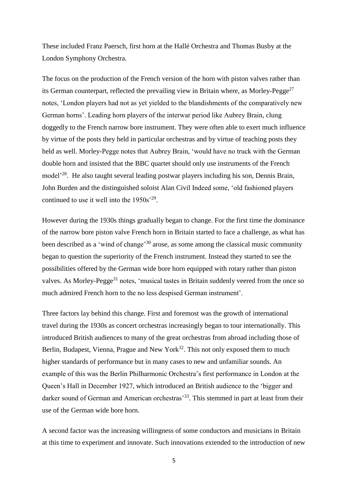These included Franz Paersch, first horn at the Hallé Orchestra and Thomas Busby at the London Symphony Orchestra.

The focus on the production of the French version of the horn with piston valves rather than its German counterpart, reflected the prevailing view in Britain where, as Morley-Pegge<sup>27</sup> notes, 'London players had not as yet yielded to the blandishments of the comparatively new German horns'. Leading horn players of the interwar period like Aubrey Brain, clung doggedly to the French narrow bore instrument. They were often able to exert much influence by virtue of the posts they held in particular orchestras and by virtue of teaching posts they held as well. Morley-Pegge notes that Aubrey Brain, 'would have no truck with the German double horn and insisted that the BBC quartet should only use instruments of the French model<sup>228</sup>. He also taught several leading postwar players including his son, Dennis Brain, John Burden and the distinguished soloist Alan Civil Indeed some, 'old fashioned players continued to use it well into the  $1950s^{29}$ .

However during the 1930s things gradually began to change. For the first time the dominance of the narrow bore piston valve French horn in Britain started to face a challenge, as what has been described as a 'wind of change'<sup>30</sup> arose, as some among the classical music community began to question the superiority of the French instrument. Instead they started to see the possibilities offered by the German wide bore horn equipped with rotary rather than piston valves. As Morley-Pegge<sup>31</sup> notes, 'musical tastes in Britain suddenly veered from the once so much admired French horn to the no less despised German instrument'.

Three factors lay behind this change. First and foremost was the growth of international travel during the 1930s as concert orchestras increasingly began to tour internationally. This introduced British audiences to many of the great orchestras from abroad including those of Berlin, Budapest, Vienna, Prague and New York<sup>32</sup>. This not only exposed them to much higher standards of performance but in many cases to new and unfamiliar sounds. An example of this was the Berlin Philharmonic Orchestra's first performance in London at the Queen's Hall in December 1927, which introduced an British audience to the 'bigger and darker sound of German and American orchestras<sup>33</sup>. This stemmed in part at least from their use of the German wide bore horn.

A second factor was the increasing willingness of some conductors and musicians in Britain at this time to experiment and innovate. Such innovations extended to the introduction of new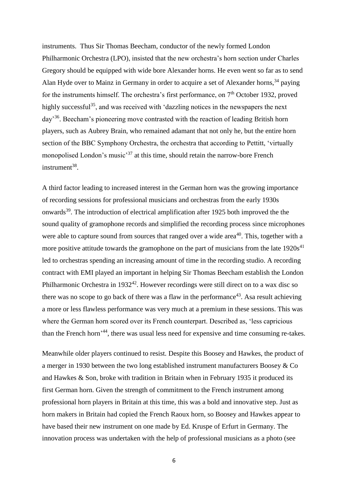instruments. Thus Sir Thomas Beecham, conductor of the newly formed London Philharmonic Orchestra (LPO), insisted that the new orchestra's horn section under Charles Gregory should be equipped with wide bore Alexander horns. He even went so far as to send Alan Hyde over to Mainz in Germany in order to acquire a set of Alexander horns,  $34$  paying for the instruments himself. The orchestra's first performance, on 7<sup>th</sup> October 1932, proved highly successful<sup>35</sup>, and was received with 'dazzling notices in the newspapers the next day<sup>36</sup>. Beecham's pioneering move contrasted with the reaction of leading British horn players, such as Aubrey Brain, who remained adamant that not only he, but the entire horn section of the BBC Symphony Orchestra, the orchestra that according to Pettitt, 'virtually monopolised London's music'<sup>37</sup> at this time, should retain the narrow-bore French instrument<sup>38</sup>.

A third factor leading to increased interest in the German horn was the growing importance of recording sessions for professional musicians and orchestras from the early 1930s onwards<sup>39</sup>. The introduction of electrical amplification after 1925 both improved the the sound quality of gramophone records and simplified the recording process since microphones were able to capture sound from sources that ranged over a wide area<sup>40</sup>. This, together with a more positive attitude towards the gramophone on the part of musicians from the late  $1920s<sup>41</sup>$ led to orchestras spending an increasing amount of time in the recording studio. A recording contract with EMI played an important in helping Sir Thomas Beecham establish the London Philharmonic Orchestra in  $1932^{42}$ . However recordings were still direct on to a wax disc so there was no scope to go back of there was a flaw in the performance<sup>43</sup>. As a result achieving a more or less flawless performance was very much at a premium in these sessions. This was where the German horn scored over its French counterpart. Described as, 'less capricious than the French horn<sup>'44</sup>, there was usual less need for expensive and time consuming re-takes.

Meanwhile older players continued to resist. Despite this Boosey and Hawkes, the product of a merger in 1930 between the two long established instrument manufacturers Boosey & Co and Hawkes & Son, broke with tradition in Britain when in February 1935 it produced its first German horn. Given the strength of commitment to the French instrument among professional horn players in Britain at this time, this was a bold and innovative step. Just as horn makers in Britain had copied the French Raoux horn, so Boosey and Hawkes appear to have based their new instrument on one made by Ed. Kruspe of Erfurt in Germany. The innovation process was undertaken with the help of professional musicians as a photo (see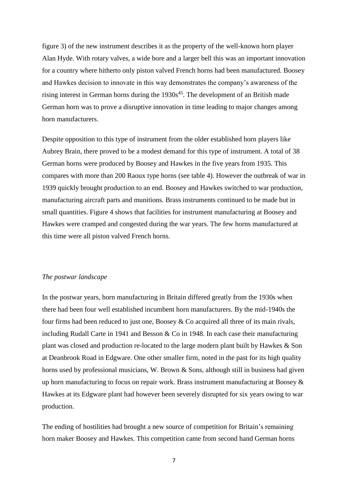figure 3) of the new instrument describes it as the property of the well-known horn player Alan Hyde. With rotary valves, a wide bore and a larger bell this was an important innovation for a country where hitherto only piston valved French horns had been manufactured. Boosey and Hawkes decision to innovate in this way demonstrates the company's awareness of the rising interest in German horns during the  $1930s^{45}$ . The development of an British made German horn was to prove a disruptive innovation in time leading to major changes among horn manufacturers.

Despite opposition to this type of instrument from the older established horn players like Aubrey Brain, there proved to be a modest demand for this type of instrument. A total of 38 German horns were produced by Boosey and Hawkes in the five years from 1935. This compares with more than 200 Raoux type horns (see table 4). However the outbreak of war in 1939 quickly brought production to an end. Boosey and Hawkes switched to war production, manufacturing aircraft parts and munitions. Brass instruments continued to be made but in small quantities. Figure 4 shows that facilities for instrument manufacturing at Boosey and Hawkes were cramped and congested during the war years. The few horns manufactured at this time were all piston valved French horns.

#### *The postwar landscape*

In the postwar years, horn manufacturing in Britain differed greatly from the 1930s when there had been four well established incumbent horn manufacturers. By the mid-1940s the four firms had been reduced to just one, Boosey & Co acquired all three of its main rivals, including Rudall Carte in 1941 and Besson & Co in 1948. In each case their manufacturing plant was closed and production re-located to the large modern plant built by Hawkes & Son at Deanbrook Road in Edgware. One other smaller firm, noted in the past for its high quality horns used by professional musicians, W. Brown & Sons, although still in business had given up horn manufacturing to focus on repair work. Brass instrument manufacturing at Boosey  $\&$ Hawkes at its Edgware plant had however been severely disrupted for six years owing to war production.

The ending of hostilities had brought a new source of competition for Britain's remaining horn maker Boosey and Hawkes. This competition came from second hand German horns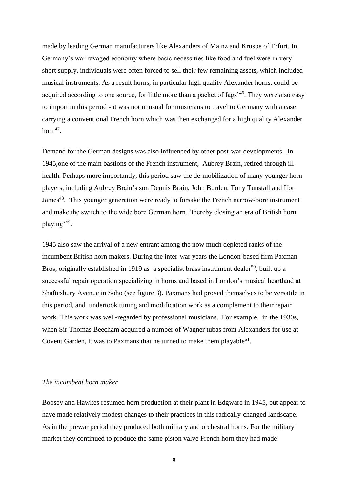made by leading German manufacturers like Alexanders of Mainz and Kruspe of Erfurt. In Germany's war ravaged economy where basic necessities like food and fuel were in very short supply, individuals were often forced to sell their few remaining assets, which included musical instruments. As a result horns, in particular high quality Alexander horns, could be acquired according to one source, for little more than a packet of fags<sup>'46</sup>. They were also easy to import in this period - it was not unusual for musicians to travel to Germany with a case carrying a conventional French horn which was then exchanged for a high quality Alexander horn $47$ .

Demand for the German designs was also influenced by other post-war developments. In 1945,one of the main bastions of the French instrument, Aubrey Brain, retired through illhealth. Perhaps more importantly, this period saw the de-mobilization of many younger horn players, including Aubrey Brain's son Dennis Brain, John Burden, Tony Tunstall and Ifor James<sup>48</sup>. This younger generation were ready to forsake the French narrow-bore instrument and make the switch to the wide bore German horn, 'thereby closing an era of British horn playing<sup>'49</sup>.

1945 also saw the arrival of a new entrant among the now much depleted ranks of the incumbent British horn makers. During the inter-war years the London-based firm Paxman Bros, originally established in 1919 as a specialist brass instrument dealer<sup>50</sup>, built up a successful repair operation specializing in horns and based in London's musical heartland at Shaftesbury Avenue in Soho (see figure 3). Paxmans had proved themselves to be versatile in this period, and undertook tuning and modification work as a complement to their repair work. This work was well-regarded by professional musicians. For example, in the 1930s, when Sir Thomas Beecham acquired a number of Wagner tubas from Alexanders for use at Covent Garden, it was to Paxmans that he turned to make them playable<sup>51</sup>.

#### *The incumbent horn maker*

Boosey and Hawkes resumed horn production at their plant in Edgware in 1945, but appear to have made relatively modest changes to their practices in this radically-changed landscape. As in the prewar period they produced both military and orchestral horns. For the military market they continued to produce the same piston valve French horn they had made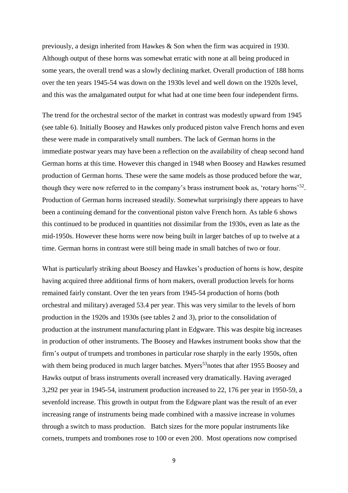previously, a design inherited from Hawkes & Son when the firm was acquired in 1930. Although output of these horns was somewhat erratic with none at all being produced in some years, the overall trend was a slowly declining market. Overall production of 188 horns over the ten years 1945-54 was down on the 1930s level and well down on the 1920s level, and this was the amalgamated output for what had at one time been four independent firms.

The trend for the orchestral sector of the market in contrast was modestly upward from 1945 (see table 6). Initially Boosey and Hawkes only produced piston valve French horns and even these were made in comparatively small numbers. The lack of German horns in the immediate postwar years may have been a reflection on the availability of cheap second hand German horns at this time. However this changed in 1948 when Boosey and Hawkes resumed production of German horns. These were the same models as those produced before the war, though they were now referred to in the company's brass instrument book as, 'rotary horns'<sup>52</sup>. Production of German horns increased steadily. Somewhat surprisingly there appears to have been a continuing demand for the conventional piston valve French horn. As table 6 shows this continued to be produced in quantities not dissimilar from the 1930s, even as late as the mid-1950s. However these horns were now being built in larger batches of up to twelve at a time. German horns in contrast were still being made in small batches of two or four.

What is particularly striking about Boosey and Hawkes's production of horns is how, despite having acquired three additional firms of horn makers, overall production levels for horns remained fairly constant. Over the ten years from 1945-54 production of horns (both orchestral and military) averaged 53.4 per year. This was very similar to the levels of horn production in the 1920s and 1930s (see tables 2 and 3), prior to the consolidation of production at the instrument manufacturing plant in Edgware. This was despite big increases in production of other instruments. The Boosey and Hawkes instrument books show that the firm's output of trumpets and trombones in particular rose sharply in the early 1950s, often with them being produced in much larger batches. Myers<sup>53</sup>notes that after 1955 Boosey and Hawks output of brass instruments overall increased very dramatically. Having averaged 3,292 per year in 1945-54, instrument production increased to 22, 176 per year in 1950-59, a sevenfold increase. This growth in output from the Edgware plant was the result of an ever increasing range of instruments being made combined with a massive increase in volumes through a switch to mass production. Batch sizes for the more popular instruments like cornets, trumpets and trombones rose to 100 or even 200. Most operations now comprised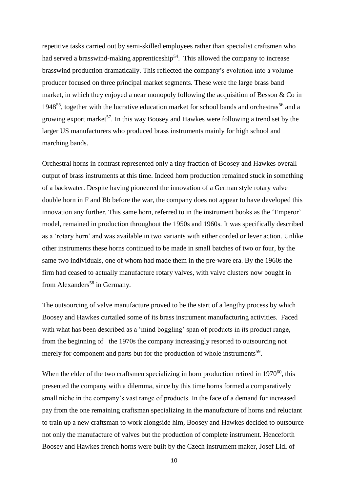repetitive tasks carried out by semi-skilled employees rather than specialist craftsmen who had served a brasswind-making apprenticeship<sup>54</sup>. This allowed the company to increase brasswind production dramatically. This reflected the company's evolution into a volume producer focused on three principal market segments. These were the large brass band market, in which they enjoyed a near monopoly following the acquisition of Besson  $& Co$  in 1948<sup>55</sup>, together with the lucrative education market for school bands and orchestras<sup>56</sup> and a growing export market<sup>57</sup>. In this way Boosey and Hawkes were following a trend set by the larger US manufacturers who produced brass instruments mainly for high school and marching bands.

Orchestral horns in contrast represented only a tiny fraction of Boosey and Hawkes overall output of brass instruments at this time. Indeed horn production remained stuck in something of a backwater. Despite having pioneered the innovation of a German style rotary valve double horn in F and Bb before the war, the company does not appear to have developed this innovation any further. This same horn, referred to in the instrument books as the 'Emperor' model, remained in production throughout the 1950s and 1960s. It was specifically described as a 'rotary horn' and was available in two variants with either corded or lever action. Unlike other instruments these horns continued to be made in small batches of two or four, by the same two individuals, one of whom had made them in the pre-ware era. By the 1960s the firm had ceased to actually manufacture rotary valves, with valve clusters now bought in from Alexanders<sup>58</sup> in Germany.

The outsourcing of valve manufacture proved to be the start of a lengthy process by which Boosey and Hawkes curtailed some of its brass instrument manufacturing activities. Faced with what has been described as a 'mind boggling' span of products in its product range, from the beginning of the 1970s the company increasingly resorted to outsourcing not merely for component and parts but for the production of whole instruments<sup>59</sup>.

When the elder of the two craftsmen specializing in horn production retired in  $1970^{60}$ , this presented the company with a dilemma, since by this time horns formed a comparatively small niche in the company's vast range of products. In the face of a demand for increased pay from the one remaining craftsman specializing in the manufacture of horns and reluctant to train up a new craftsman to work alongside him, Boosey and Hawkes decided to outsource not only the manufacture of valves but the production of complete instrument. Henceforth Boosey and Hawkes french horns were built by the Czech instrument maker, Josef Lidl of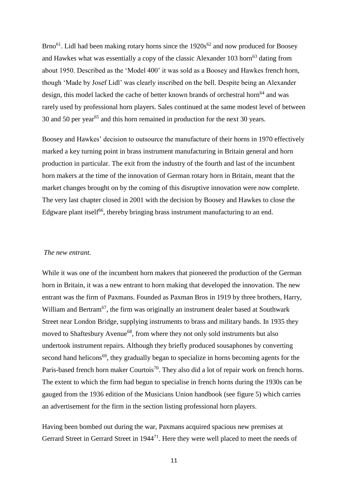$Brno<sup>61</sup>$ . Lidl had been making rotary horns since the  $1920s<sup>62</sup>$  and now produced for Boosey and Hawkes what was essentially a copy of the classic Alexander 103 horn<sup>63</sup> dating from about 1950. Described as the 'Model 400' it was sold as a Boosey and Hawkes french horn, though 'Made by Josef Lidl' was clearly inscribed on the bell. Despite being an Alexander design, this model lacked the cache of better known brands of orchestral horn<sup>64</sup> and was rarely used by professional horn players. Sales continued at the same modest level of between 30 and 50 per year<sup>65</sup> and this horn remained in production for the next 30 years.

Boosey and Hawkes' decision to outsource the manufacture of their horns in 1970 effectively marked a key turning point in brass instrument manufacturing in Britain general and horn production in particular. The exit from the industry of the fourth and last of the incumbent horn makers at the time of the innovation of German rotary horn in Britain, meant that the market changes brought on by the coming of this disruptive innovation were now complete. The very last chapter closed in 2001 with the decision by Boosey and Hawkes to close the Edgware plant itself<sup>66</sup>, thereby bringing brass instrument manufacturing to an end.

### *The new entrant.*

While it was one of the incumbent horn makers that pioneered the production of the German horn in Britain, it was a new entrant to horn making that developed the innovation. The new entrant was the firm of Paxmans. Founded as Paxman Bros in 1919 by three brothers, Harry, William and Bertram<sup>67</sup>, the firm was originally an instrument dealer based at Southwark Street near London Bridge, supplying instruments to brass and military bands. In 1935 they moved to Shaftesbury Avenue<sup>68</sup>, from where they not only sold instruments but also undertook instrument repairs. Although they briefly produced sousaphones by converting second hand helicons<sup>69</sup>, they gradually began to specialize in horns becoming agents for the Paris-based french horn maker Courtois<sup>70</sup>. They also did a lot of repair work on french horns. The extent to which the firm had begun to specialise in french horns during the 1930s can be gauged from the 1936 edition of the Musicians Union handbook (see figure 5) which carries an advertisement for the firm in the section listing professional horn players.

Having been bombed out during the war, Paxmans acquired spacious new premises at Gerrard Street in Gerrard Street in 1944<sup>71</sup>. Here they were well placed to meet the needs of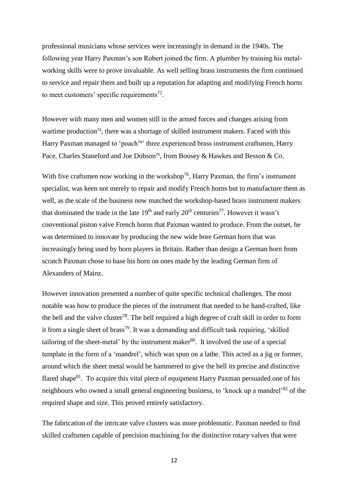professional musicians whose services were increasingly in demand in the 1940s. The following year Harry Paxman's son Robert joined the firm. A plumber by training his metalworking skills were to prove invaluable. As well selling brass instruments the firm continued to service and repair them and built up a reputation for adapting and modifying French horns to meet customers' specific requirements<sup>72</sup>.

However with many men and women still in the armed forces and changes arising from wartime production<sup>73</sup>, there was a shortage of skilled instrument makers. Faced with this Harry Paxman managed to 'poach<sup>74</sup>' three experienced brass instrument craftsmen, Harry Pace, Charles Staneford and Joe Dobson<sup>75</sup>, from Boosey & Hawkes and Besson & Co.

With five craftsmen now working in the workshop<sup>76</sup>, Harry Paxman, the firm's instrument specialist, was keen not merely to repair and modify French horns but to manufacture them as well, as the scale of the business now matched the workshop-based brass instrument makers that dominated the trade in the late  $19<sup>th</sup>$  and early  $20<sup>th</sup>$  centuries<sup>77</sup>. However it wasn't conventional piston valve French horns that Paxman wanted to produce. From the outset, he was determined to innovate by producing the new wide bore German horn that was increasingly being used by horn players in Britain. Rather than design a German horn from scratch Paxman chose to base his horn on ones made by the leading German firm of Alexanders of Mainz.

However innovation presented a number of quite specific technical challenges. The most notable was how to produce the pieces of the instrument that needed to be hand-crafted, like the bell and the valve cluster<sup>78</sup>. The bell required a high degree of craft skill in order to form it from a single sheet of brass<sup>79</sup>. It was a demanding and difficult task requiring, 'skilled tailoring of the sheet-metal' by the instrument maker $80$ . It involved the use of a special template in the form of a 'mandrel', which was spun on a lathe. This acted as a jig or former, around which the sheet metal would be hammered to give the bell its precise and distinctive flared shape $81$ . To acquire this vital piece of equipment Harry Paxman persuaded one of his neighbours who owned a small general engineering business, to 'knock up a mandrel'<sup>82</sup> of the required shape and size. This proved entirely satisfactory.

The fabrication of the intricate valve clusters was more problematic. Paxman needed to find skilled craftsmen capable of precision machining for the distinctive rotary valves that were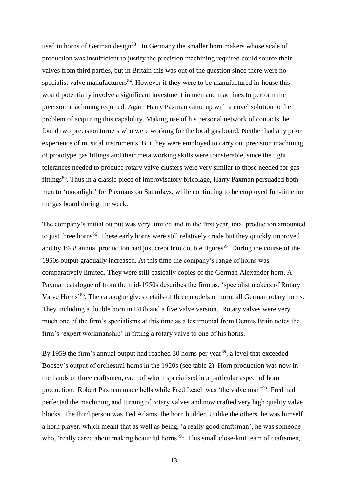used in horns of German design $83$ . In Germany the smaller horn makers whose scale of production was insufficient to justify the precision machining required could source their valves from third parties, but in Britain this was out of the question since there were no specialist valve manufacturers<sup>84</sup>. However if they were to be manufactured in-house this would potentially involve a significant investment in men and machines to perform the precision machining required. Again Harry Paxman came up with a novel solution to the problem of acquiring this capability. Making use of his personal network of contacts, he found two precision turners who were working for the local gas board. Neither had any prior experience of musical instruments. But they were employed to carry out precision machining of prototype gas fittings and their metalworking skills were transferable, since the tight tolerances needed to produce rotary valve clusters were very similar to those needed for gas fittings<sup>85</sup>. Thus in a classic piece of improvisatory bricolage, Harry Paxman persuaded both men to 'moonlight' for Paxmans on Saturdays, while continuing to be employed full-time for the gas board during the week.

The company's initial output was very limited and in the first year, total production amounted to just three horns<sup>86</sup>. These early horns were still relatively crude but they quickly improved and by 1948 annual production had just crept into double figures $^{87}$ . During the course of the 1950s output gradually increased. At this time the company's range of horns was comparatively limited. They were still basically copies of the German Alexander horn. A Paxman catalogue of from the mid-1950s describes the firm as, 'specialist makers of Rotary Valve Horns'<sup>88</sup>. The catalogue gives details of three models of horn, all German rotary horns. They including a double horn in F/Bb and a five valve version. Rotary valves were very much one of the firm's specialisms at this time as a testimonial from Dennis Brain notes the firm's 'expert workmanship' in fitting a rotary valve to one of his horns.

By 1959 the firm's annual output had reached 30 horns per year<sup>89</sup>, a level that exceeded Boosey's output of orchestral horns in the 1920s (see table 2). Horn production was now in the hands of three craftsmen, each of whom specialised in a particular aspect of horn production. Robert Paxman made bells while Fred Leach was 'the valve man'<sup>90</sup>. Fred had perfected the machining and turning of rotary valves and now crafted very high quality valve blocks. The third person was Ted Adams, the horn builder. Unlike the others, he was himself a horn player, which meant that as well as being, 'a really good craftsman', he was someone who, 'really cared about making beautiful horns'<sup>91</sup>. This small close-knit team of craftsmen,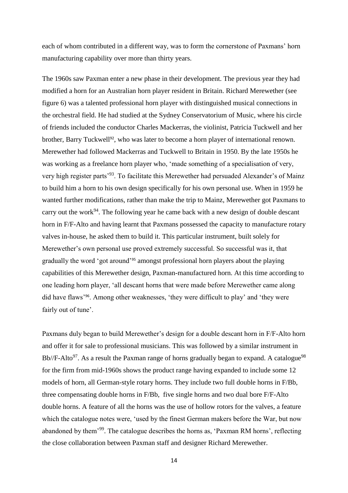each of whom contributed in a different way, was to form the cornerstone of Paxmans' horn manufacturing capability over more than thirty years.

The 1960s saw Paxman enter a new phase in their development. The previous year they had modified a horn for an Australian horn player resident in Britain. Richard Merewether (see figure 6) was a talented professional horn player with distinguished musical connections in the orchestral field. He had studied at the Sydney Conservatorium of Music, where his circle of friends included the conductor Charles Mackerras, the violinist, Patricia Tuckwell and her brother, Barry Tuckwell<sup>92</sup>, who was later to become a horn player of international renown. Merewether had followed Mackerras and Tuckwell to Britain in 1950. By the late 1950s he was working as a freelance horn player who, 'made something of a specialisation of very, very high register parts'<sup>93</sup>. To facilitate this Merewether had persuaded Alexander's of Mainz to build him a horn to his own design specifically for his own personal use. When in 1959 he wanted further modifications, rather than make the trip to Mainz, Merewether got Paxmans to carry out the work<sup>94</sup>. The following year he came back with a new design of double descant horn in F/F-Alto and having learnt that Paxmans possessed the capacity to manufacture rotary valves in-house, he asked them to build it. This particular instrument, built solely for Merewether's own personal use proved extremely successful. So successful was it, that gradually the word 'got around'<sup>95</sup> amongst professional horn players about the playing capabilities of this Merewether design, Paxman-manufactured horn. At this time according to one leading horn player, 'all descant horns that were made before Merewether came along did have flaws'96. Among other weaknesses, 'they were difficult to play' and 'they were fairly out of tune'.

Paxmans duly began to build Merewether's design for a double descant horn in F/F-Alto horn and offer it for sale to professional musicians. This was followed by a similar instrument in Bb//F-Alto<sup>97</sup>. As a result the Paxman range of horns gradually began to expand. A catalogue<sup>98</sup> for the firm from mid-1960s shows the product range having expanded to include some 12 models of horn, all German-style rotary horns. They include two full double horns in F/Bb, three compensating double horns in F/Bb, five single horns and two dual bore F/F-Alto double horns. A feature of all the horns was the use of hollow rotors for the valves, a feature which the catalogue notes were, 'used by the finest German makers before the War, but now abandoned by them'<sup>99</sup>. The catalogue describes the horns as, 'Paxman RM horns', reflecting the close collaboration between Paxman staff and designer Richard Merewether.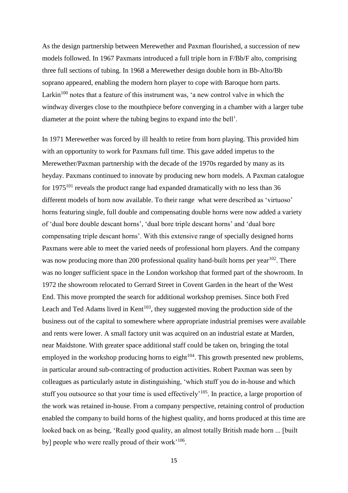As the design partnership between Merewether and Paxman flourished, a succession of new models followed. In 1967 Paxmans introduced a full triple horn in F/Bb/F alto, comprising three full sections of tubing. In 1968 a Merewether design double horn in Bb-Alto/Bb soprano appeared, enabling the modern horn player to cope with Baroque horn parts. Larkin<sup>100</sup> notes that a feature of this instrument was, 'a new control valve in which the windway diverges close to the mouthpiece before converging in a chamber with a larger tube diameter at the point where the tubing begins to expand into the bell'.

In 1971 Merewether was forced by ill health to retire from horn playing. This provided him with an opportunity to work for Paxmans full time. This gave added impetus to the Merewether/Paxman partnership with the decade of the 1970s regarded by many as its heyday. Paxmans continued to innovate by producing new horn models. A Paxman catalogue for  $1975^{101}$  reveals the product range had expanded dramatically with no less than 36 different models of horn now available. To their range what were described as 'virtuoso' horns featuring single, full double and compensating double horns were now added a variety of 'dual bore double descant horns', 'dual bore triple descant horns' and 'dual bore compensating triple descant horns'. With this extensive range of specially designed horns Paxmans were able to meet the varied needs of professional horn players. And the company was now producing more than 200 professional quality hand-built horns per year<sup>102</sup>. There was no longer sufficient space in the London workshop that formed part of the showroom. In 1972 the showroom relocated to Gerrard Street in Covent Garden in the heart of the West End. This move prompted the search for additional workshop premises. Since both Fred Leach and Ted Adams lived in  $Kent<sup>103</sup>$ , they suggested moving the production side of the business out of the capital to somewhere where appropriate industrial premises were available and rents were lower. A small factory unit was acquired on an industrial estate at Marden, near Maidstone. With greater space additional staff could be taken on, bringing the total employed in the workshop producing horns to eight $104$ . This growth presented new problems, in particular around sub-contracting of production activities. Robert Paxman was seen by colleagues as particularly astute in distinguishing, 'which stuff you do in-house and which stuff you outsource so that your time is used effectively<sup> $105$ </sup>. In practice, a large proportion of the work was retained in-house. From a company perspective, retaining control of production enabled the company to build horns of the highest quality, and horns produced at this time are looked back on as being, 'Really good quality, an almost totally British made horn ... [built by] people who were really proud of their work<sup>'106</sup>.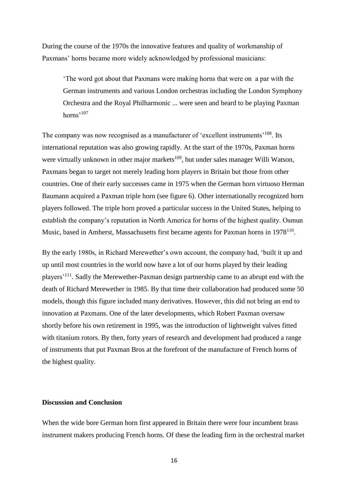During the course of the 1970s the innovative features and quality of workmanship of Paxmans' horns became more widely acknowledged by professional musicians:

'The word got about that Paxmans were making horns that were on a par with the German instruments and various London orchestras including the London Symphony Orchestra and the Royal Philharmonic ... were seen and heard to be playing Paxman horns'<sup>107</sup>

The company was now recognised as a manufacturer of 'excellent instruments'<sup>108</sup>. Its international reputation was also growing rapidly. At the start of the 1970s, Paxman horns were virtually unknown in other major markets<sup>109</sup>, but under sales manager Willi Watson, Paxmans began to target not merely leading horn players in Britain but those from other countries. One of their early successes came in 1975 when the German horn virtuoso Herman Baumann acquired a Paxman triple horn (see figure 6). Other internationally recognized horn players followed. The triple horn proved a particular success in the United States, helping to establish the company's reputation in North America for horns of the highest quality. Osmun Music, based in Amherst, Massachusetts first became agents for Paxman horns in 1978<sup>110</sup>.

By the early 1980s, in Richard Merewether's own account, the company had, 'built it up and up until most countries in the world now have a lot of our horns played by their leading players<sup>'111</sup>. Sadly the Merewether-Paxman design partnership came to an abrupt end with the death of Richard Merewether in 1985. By that time their collaboration had produced some 50 models, though this figure included many derivatives. However, this did not bring an end to innovation at Paxmans. One of the later developments, which Robert Paxman oversaw shortly before his own retirement in 1995, was the introduction of lightweight valves fitted with titanium rotors. By then, forty years of research and development had produced a range of instruments that put Paxman Bros at the forefront of the manufacture of French horns of the highest quality.

#### **Discussion and Conclusion**

When the wide bore German horn first appeared in Britain there were four incumbent brass instrument makers producing French horns. Of these the leading firm in the orchestral market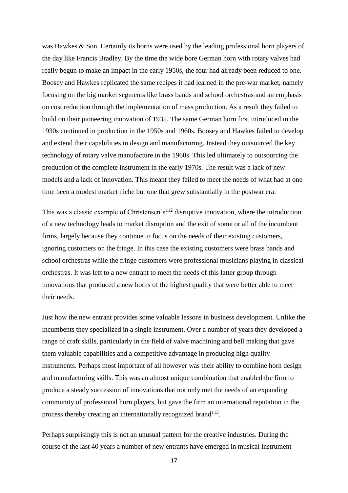was Hawkes & Son. Certainly its horns were used by the leading professional horn players of the day like Francis Bradley. By the time the wide bore German horn with rotary valves had really begun to make an impact in the early 1950s, the four had already been reduced to one. Boosey and Hawkes replicated the same recipes it had learned in the pre-war market, namely focusing on the big market segments like brass bands and school orchestras and an emphasis on cost reduction through the implementation of mass production. As a result they failed to build on their pioneering innovation of 1935. The same German horn first introduced in the 1930s continued in production in the 1950s and 1960s. Boosey and Hawkes failed to develop and extend their capabilities in design and manufacturing. Instead they outsourced the key technology of rotary valve manufacture in the 1960s. This led ultimately to outsourcing the production of the complete instrument in the early 1970s. The result was a lack of new models and a lack of innovation. This meant they failed to meet the needs of what had at one time been a modest market niche but one that grew substantially in the postwar era.

This was a classic example of Christensen's<sup>112</sup> disruptive innovation, where the introduction of a new technology leads to market disruption and the exit of some or all of the incumbent firms, largely because they continue to focus on the needs of their existing customers, ignoring customers on the fringe. In this case the existing customers were brass bands and school orchestras while the fringe customers were professional musicians playing in classical orchestras. It was left to a new entrant to meet the needs of this latter group through innovations that produced a new horns of the highest quality that were better able to meet their needs.

Just how the new entrant provides some valuable lessons in business development. Unlike the incumbents they specialized in a single instrument. Over a number of years they developed a range of craft skills, particularly in the field of valve machining and bell making that gave them valuable capabilities and a competitive advantage in producing high quality instruments. Perhaps most important of all however was their ability to combine horn design and manufacturing skills. This was an almost unique combination that enabled the firm to produce a steady succession of innovations that not only met the needs of an expanding community of professional horn players, but gave the firm an international reputation in the process thereby creating an internationally recognized brand<sup>113</sup>.

Perhaps surprisingly this is not an unusual pattern for the creative industries. During the course of the last 40 years a number of new entrants have emerged in musical instrument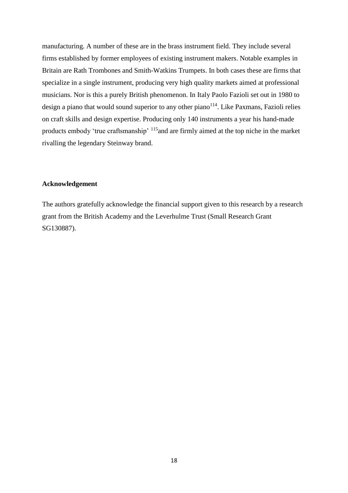manufacturing. A number of these are in the brass instrument field. They include several firms established by former employees of existing instrument makers. Notable examples in Britain are Rath Trombones and Smith-Watkins Trumpets. In both cases these are firms that specialize in a single instrument, producing very high quality markets aimed at professional musicians. Nor is this a purely British phenomenon. In Italy Paolo Fazioli set out in 1980 to design a piano that would sound superior to any other piano<sup>114</sup>. Like Paxmans, Fazioli relies on craft skills and design expertise. Producing only 140 instruments a year his hand-made products embody 'true craftsmanship' <sup>115</sup>and are firmly aimed at the top niche in the market rivalling the legendary Steinway brand.

#### **Acknowledgement**

The authors gratefully acknowledge the financial support given to this research by a research grant from the British Academy and the Leverhulme Trust (Small Research Grant SG130887).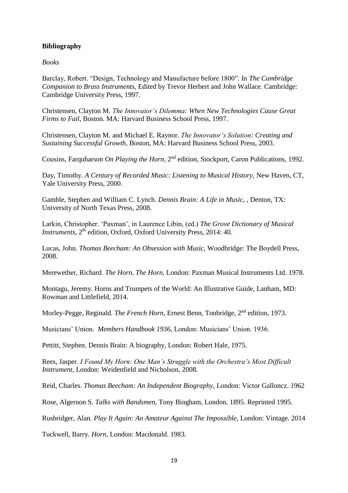## **Bibliography**

*Books*

Barclay, Robert. "Design, Technology and Manufacture before 1800". In *The Cambridge Companion to Brass Instruments,* Edited by Trevor Herbert and John Wallace. Cambridge: Cambridge University Press, 1997.

Christensen, Clayton M. *The Innovator's Dilemma: When New Technologies Cause Great Firms to Fail*, Boston. MA: Harvard Business School Press, 1997.

Christensen, Clayton M. and Michael E. Raynor. *The Innovator's Solution: Creating and Sustaining Successful Growth*, Boston, MA: Harvard Business School Press, 2003.

Cousins, Farquharson *On Playing the Horn*, 2<sup>nd</sup> edition, Stockport, Caron Publications, 1992.

Day, Timothy. *A Century of Recorded Music: Listening to Musical History,* New Haven, CT, Yale University Press, 2000.

Gamble, Stephen and William C. Lynch. *Dennis Brain: A Life in Music,* , Denton, TX: University of North Texas Press, 2008.

Larkin, Christopher. 'Paxman', in Laurence Libin, (ed.) *The Grove Dictionary of Musical Instruments*,  $2<sup>th</sup>$  edition, Oxford, Oxford University Press, 2014: 40.

Lucas, John. *Thomas Beecham: An Obsession with Music,* Woodbridge: The Boydell Press, 2008.

Merewether, Richard. *The Horn, The Horn,* London: Paxman Musical Instruments Ltd. 1978.

Montagu, Jeremy. Horns and Trumpets of the World: An Illustrative Guide, Lanham, MD: Rowman and Littlefield, 2014.

Morley-Pegge, Reginald. *The French Horn*, Ernest Benn, Tonbridge, 2<sup>nd</sup> edition, 1973.

Musicians' Union. *Members Handbook 1936*, London: Musicians' Union. 1936.

Pettitt, Stephen. Dennis Brain: A biography, London: Robert Hale, 1975.

Rees, Jasper*. I Found My Horn: One Man's Struggle with the Orchestra's Most Difficult Instrument,* London: Weidenfield and Nicholson, 2008.

Reid, Charles. *Thomas Beecham: An Independent Biography*, London: Victor Galloncz. 1962

Rose, Algernon S. *Talks with Bandsmen*, Tony Bingham, London. 1895. Reprinted 1995.

Rusbridger, Alan. *Play It Again: An Amateur Against The Impossible*, London: Vintage. 2014

Tuckwell, Barry. *Horn,* London: Macdonald. 1983.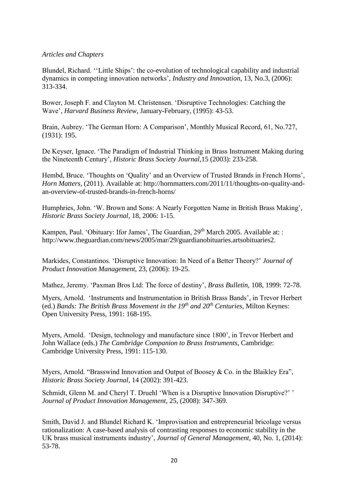## *Articles and Chapters*

Blundel, Richard. ''Little Ships': the co-evolution of technological capability and industrial dynamics in competing innovation networks', *Industry and Innovation*, 13, No.3, (2006): 313-334.

Bower, Joseph F. and Clayton M. Christensen. 'Disruptive Technologies: Catching the Wave', *Harvard Business Review*, January-February, (1995): 43-53.

Brain, Aubrey. 'The German Horn: A Comparison', Monthly Musical Record, 61, No.727, (1931): 195.

De Keyser, Ignace. 'The Paradigm of Industrial Thinking in Brass Instrument Making during the Nineteenth Century', *Historic Brass Society Journal,*15 (2003): 233-258.

Hembd, Bruce. 'Thoughts on 'Quality' and an Overview of Trusted Brands in French Horns', *Horn Matters*, (2011). Available at: http://hornmatters.com/2011/11/thoughts-on-quality-andan-overview-of-trusted-brands-in-french-horns/

Humphries, John. 'W. Brown and Sons: A Nearly Forgotten Name in British Brass Making'*, Historic Brass Society Journal*, 18, 2006: 1-15.

Kampen, Paul. 'Obituary: Ifor James', The Guardian, 29<sup>th</sup> March 2005. Available at: : http://www.theguardian.com/news/2005/mar/29/guardianobituaries.artsobituaries2.

Markides, Constantinos. 'Disruptive Innovation: In Need of a Better Theory?' *Journal of Product Innovation Management,* 23, (2006): 19-25.

Mathez, Jeremy. 'Paxman Bros Ltd: The force of destiny', *Brass Bulletin,* 108, 1999: 72-78.

Myers, Arnold. 'Instruments and Instrumentation in British Brass Bands', in Trevor Herbert (ed.) *Bands: The British Brass Movement in the 19th and 20th Centuries*, Milton Keynes: Open University Press, 1991: 168-195.

Myers, Arnold. 'Design, technology and manufacture since 1800', in Trevor Herbert and John Wallace (eds.) *The Cambridge Companion to Brass Instruments*, Cambridge: Cambridge University Press, 1991: 115-130.

Myers, Arnold. "Brasswind Innovation and Output of Boosey & Co. in the Blaikley Era", *Historic Brass Society Journal*, 14 (2002): 391-423.

Schmidt, Glenn M. and Cheryl T. Druehl 'When is a Disruptive Innovation Disruptive?' ' *Journal of Product Innovation Management,* 25, (2008): 347-369.

Smith, David J. and Blundel Richard K. 'Improvisation and entrepreneurial bricolage versus rationalization: A case-based analysis of contrasting responses to economic stability in the UK brass musical instruments industry', *Journal of General Management,* 40, No. 1, (2014): 53-78.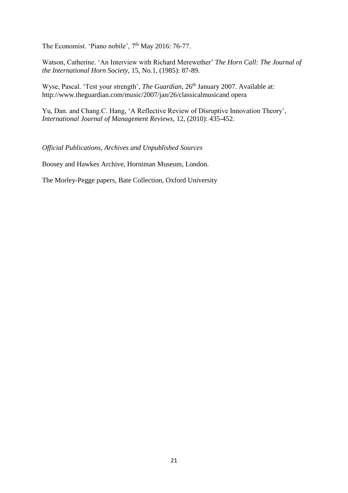The Economist. 'Piano nobile', 7<sup>th</sup> May 2016: 76-77.

Watson, Catherine. 'An Interview with Richard Merewether' *The Horn Call: The Journal of the International Horn Society*, 15, No.1, (1985): 87-89.

Wyse, Pascal. 'Test your strength', *The Guardian*, 26<sup>th</sup> January 2007. Available at: http://www.theguardian.com/music/2007/jan/26/classicalmusicand opera

Yu, Dan. and Chang.C. Hang, 'A Reflective Review of Disruptive Innovation Theory', *International Journal of Management Reviews*, 12, (2010): 435-452.

*Official Publications, Archives and Unpublished Sources*

Boosey and Hawkes Archive, Horniman Museum, London.

The Morley-Pegge papers, Bate Collection, Oxford University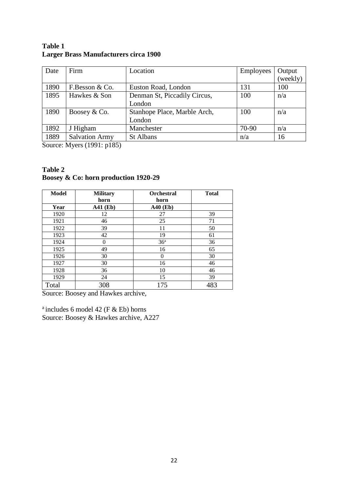| Date | Firm                  | Location                     | Employees | Output   |
|------|-----------------------|------------------------------|-----------|----------|
|      |                       |                              |           | (weekly) |
| 1890 | F.Besson & Co.        | Euston Road, London          | 131       | 100      |
| 1895 | Hawkes & Son          | Denman St, Piccadily Circus, | 100       | n/a      |
|      |                       | London                       |           |          |
| 1890 | Boosey & Co.          | Stanhope Place, Marble Arch, | 100       | n/a      |
|      |                       | London                       |           |          |
| 1892 | J Higham              | Manchester                   | 70-90     | n/a      |
| 1889 | <b>Salvation Army</b> | <b>St Albans</b>             | n/a       | 16       |

## **Table 1 Larger Brass Manufacturers circa 1900**

Source: Myers (1991: p185)

### **Table 2 Boosey & Co: horn production 1920-29**

| <b>Model</b> | <b>Military</b><br>horn | <b>Orchestral</b><br>horn | <b>Total</b> |
|--------------|-------------------------|---------------------------|--------------|
| Year         | <b>A41 (Eb)</b>         | <b>A40 (Eb)</b>           |              |
| 1920         | 12                      | 27                        | 39           |
| 1921         | 46                      | 25                        | 71           |
| 1922         | 39                      | 11                        | 50           |
| 1923         | 42                      | 19                        | 61           |
| 1924         | $\theta$                | 36 <sup>a</sup>           | 36           |
| 1925         | 49                      | 16                        | 65           |
| 1926         | 30                      | $\Omega$                  | 30           |
| 1927         | 30                      | 16                        | 46           |
| 1928         | 36                      | 10                        | 46           |
| 1929         | 24                      | 15                        | 39           |
| Total        | 308                     | 175                       | 483          |

Source: Boosey and Hawkes archive,

<sup>a</sup> includes 6 model 42 (F  $\&$  Eb) horns Source: Boosey & Hawkes archive, A227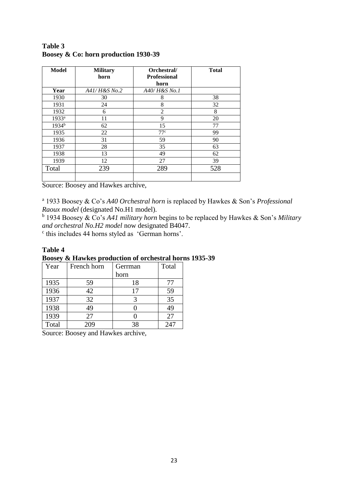| <b>Model</b>      | <b>Military</b><br>horn | Orchestral/<br><b>Professional</b> | <b>Total</b> |
|-------------------|-------------------------|------------------------------------|--------------|
|                   | A41/ H&S No.2           | horn<br>A40/H&S No.1               |              |
| Year              |                         |                                    |              |
| 1930              | 30                      | 8                                  | 38           |
| 1931              | 24                      | 8                                  | 32           |
| 1932              | 6                       | $\overline{2}$                     | 8            |
| 1933 <sup>a</sup> | 11                      | 9                                  | 20           |
| 1934 <sup>b</sup> | 62                      | 15                                 | 77           |
| 1935              | 22                      | 77c                                | 99           |
| 1936              | 31                      | 59                                 | 90           |
| 1937              | 28                      | 35                                 | 63           |
| 1938              | 13                      | 49                                 | 62           |
| 1939              | 12                      | 27                                 | 39           |
| Total             | 239                     | 289                                | 528          |
|                   |                         |                                    |              |

## **Table 3 Boosey & Co: horn production 1930-39**

Source: Boosey and Hawkes archive,

a 1933 Boosey & Co's *A40 Orchestral horn* is replaced by Hawkes & Son's *Professional Raoux model* (designated No.H1 model).

b 1934 Boosey & Co's *A41 military horn* begins to be replaced by Hawkes & Son's *Military and orchestral No.H2 model* now designated B4047.

c this includes 44 horns styled as 'German horns'.

### **Table 4**

# **Boosey & Hawkes production of orchestral horns 1935-39**

| Year  | French horn | Gerrman | Total |
|-------|-------------|---------|-------|
|       |             | horn    |       |
| 1935  | 59          | 18      | 77    |
| 1936  | 42          | 17      | 59    |
| 1937  | 32          |         | 35    |
| 1938  | 49          |         | 49    |
| 1939  | 27          |         | 27    |
| Total | 209         | 38      | 247   |

Source: Boosey and Hawkes archive,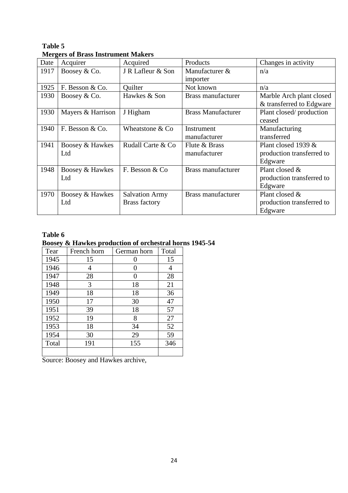|      | we get of <i>Druss mon</i> union <i>manch</i> s |                       |                           |                           |
|------|-------------------------------------------------|-----------------------|---------------------------|---------------------------|
| Date | Acquirer                                        | Acquired              | Products                  | Changes in activity       |
| 1917 | Boosey & Co.                                    | J R Lafleur & Son     | Manufacturer &            | n/a                       |
|      |                                                 |                       | importer                  |                           |
| 1925 | F. Besson & Co.                                 | Quilter               | Not known                 | n/a                       |
| 1930 | Boosey & Co.                                    | Hawkes & Son          | <b>Brass manufacturer</b> | Marble Arch plant closed  |
|      |                                                 |                       |                           | & transferred to Edgware  |
| 1930 | Mayers & Harrison                               | J Higham              | <b>Brass Manufacturer</b> | Plant closed/production   |
|      |                                                 |                       |                           | ceased                    |
| 1940 | F. Besson & Co.                                 | Wheatstone & Co       | Instrument                | Manufacturing             |
|      |                                                 |                       | manufacturer              | transferred               |
| 1941 | Boosey & Hawkes                                 | Rudall Carte & Co     | Flute & Brass             | Plant closed 1939 &       |
|      | Ltd                                             |                       | manufacturer              | production transferred to |
|      |                                                 |                       |                           | Edgware                   |
| 1948 | Boosey & Hawkes                                 | F. Besson & Co.       | Brass manufacturer        | Plant closed &            |
|      | Ltd                                             |                       |                           | production transferred to |
|      |                                                 |                       |                           | Edgware                   |
| 1970 | Boosey & Hawkes                                 | <b>Salvation Army</b> | <b>Brass manufacturer</b> | Plant closed &            |
|      | Ltd                                             | <b>Brass factory</b>  |                           | production transferred to |
|      |                                                 |                       |                           | Edgware                   |

## **Table 5 Mergers of Brass Instrument Makers**

# **Table 6**

# **Boosey & Hawkes production of orchestral horns 1945-54**

| Tear  | French horn | German horn  | Total |
|-------|-------------|--------------|-------|
| 1945  | 15          | 0            | 15    |
| 1946  | 4           | 0            | 4     |
| 1947  | 28          | $\mathbf{0}$ | 28    |
| 1948  | 3           | 18           | 21    |
| 1949  | 18          | 18           | 36    |
| 1950  | 17          | 30           | 47    |
| 1951  | 39          | 18           | 57    |
| 1952  | 19          | 8            | 27    |
| 1953  | 18          | 34           | 52    |
| 1954  | 30          | 29           | 59    |
| Total | 191         | 155          | 346   |
|       |             |              |       |

Source: Boosey and Hawkes archive,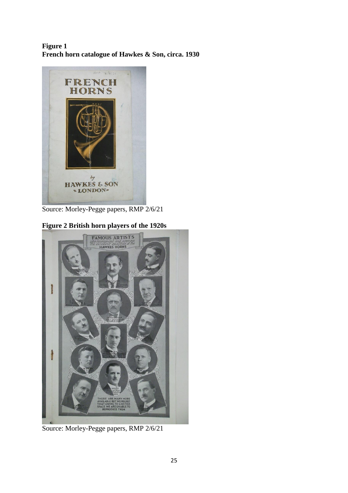## **Figure 1 French horn catalogue of Hawkes & Son, circa. 1930**



Source: Morley-Pegge papers, RMP 2/6/21

# **Figure 2 British horn players of the 1920s**



Source: Morley-Pegge papers, RMP 2/6/21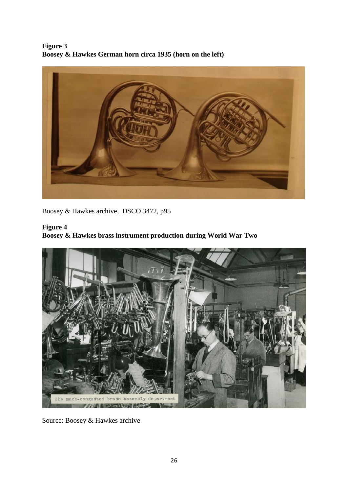**Figure 3 Boosey & Hawkes German horn circa 1935 (horn on the left)**



Boosey & Hawkes archive, DSCO 3472, p95

# **Figure 4**

**Boosey & Hawkes brass instrument production during World War Two**



Source: Boosey & Hawkes archive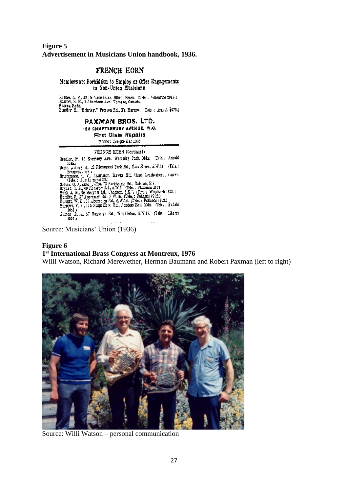## **Figure 5 Advertisement in Musicians Union handbook, 1936.**

# FRENCH HORN

Members are Forbidden to Employ or Offer Engagements to Non-Union Musicians

Barnes, A. P., 42 De Verr Gulas, liford, Essex, (Tele.: Valentine 2098.)<br>Barrow, R. H., J Aberdeen Ave., Toronto, Canada.<br>Basten, Robt.<br>Bradley, E., "Brierley," Preston Rd., Nr. Rartow. (Tale.: Arnold 4073.)

### PAXMAN BROS. LTD.

#### 158 SHAFTESBURY AVENUE, W.C.

**First Class Repairs** 

Thome: Temple Bar 1005

#### FRENCH HORN (Continued)

FRENCH HOMN (Continues)<br>Bradhy, F. 13 Eversiey Ave., Wembley Park, Mdx. (Tele.: Arnold<br>4015./ The and Distributed Distributed November 3.15.14 (Tele.) Branchy, F., 32 Eversier Ave., weinzier Faix, Jak. (1942), Estate<br>Branchy H., 22 Richmond Park Rd., Zast Sheen, 5.W.14. (Tele.:<br>Branchote, C. V., Lautiston, Hawks Riff Close, Leatheritead, Surrey.<br>The Close (1986).<br>Treath Button, S. A., 57 Rayleigh Rd., Wimbledon, S.W.19. (Tels.: Liberty 1971.)

Source: Musicians' Union (1936)

### **Figure 6 1 st International Brass Congress at Montreux, 1976**

Willi Watson, Richard Merewether, Herman Baumann and Robert Paxman (left to right)



Source: Willi Watson – personal communication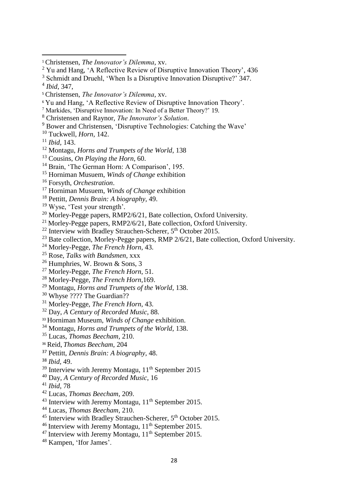- Markides, 'Disruptive Innovation: In Need of a Better Theory?' 19.
- Christensen and Raynor, *The Innovator's Solution*.
- Bower and Christensen, 'Disruptive Technologies: Catching the Wave'
- Tuckwell, *Horn,* 142.
- *Ibid,* 143.
- Montagu, *Horns and Trumpets of the World*, 138
- Cousins, *On Playing the Horn*, 60.
- <sup>14</sup> Brain, 'The German Horn: A Comparison', 195.
- Horniman Musuem, *Winds of Change* exhibition
- Forsyth, *Orchestration*.
- Horniman Musuem, *Winds of Change* exhibition
- Pettitt, *Dennis Brain: A biography,* 49.
- Wyse, 'Test your strength'*.*
- <sup>20</sup> Morley-Pegge papers, RMP2/6/21, Bate collection, Oxford University.
- <sup>21</sup> Morley-Pegge papers, RMP2/6/21, Bate collection, Oxford University.
- Interview with Bradley Strauchen-Scherer,  $5<sup>th</sup>$  October 2015.
- <sup>23</sup> Bate collection, Morley-Pegge papers, RMP 2/6/21, Bate collection, Oxford University.
- Morley-Pegge, *The French Horn*, 43.
- Rose, *Talks with Bandsmen*, xxx
- Humphries, W. Brown & Sons, 3
- Morley-Pegge, *The French Horn*, 51.
- Morley-Pegge, *The French Horn*,169.
- Montagu, *Horns and Trumpets of the World*, 138.
- <sup>30</sup> Whyse ???? The Guardian??
- Morley-Pegge, *The French Horn*, 43.
- Day, *A Century of Recorded Music*, 88.
- Horniman Museum, *Winds of Change* exhibition.
- Montagu, *Horns and Trumpets of the World*, 138.
- Lucas, *Thomas Beecham,* 210.
- Reid, *Thomas Beecham*, 204
- Pettitt, *Dennis Brain: A biography,* 48.

*Ibid,* 49.

- Interview with Jeremy Montagu,  $11<sup>th</sup>$  September 2015
- Day, *A Century of Recorded Music*, 16
- *Ibid*, 78
- Lucas, *Thomas Beecham*, 209.
- <sup>43</sup> Interview with Jeremy Montagu,  $11<sup>th</sup>$  September 2015.
- Lucas, *Thomas Beecham*, 210.
- <sup>45</sup> Interview with Bradley Strauchen-Scherer, 5<sup>th</sup> October 2015.
- $^{46}$  Interview with Jeremy Montagu,  $11<sup>th</sup>$  September 2015.
- Interview with Jeremy Montagu,  $11<sup>th</sup>$  September 2015.
- Kampen, 'Ifor James'.

Christensen, *The Innovator's Dilemma*, xv.

<sup>&</sup>lt;sup>2</sup> Yu and Hang, 'A Reflective Review of Disruptive Innovation Theory', 436

<sup>&</sup>lt;sup>3</sup> Schmidt and Druehl, 'When Is a Disruptive Innovation Disruptive?' 347.

*Ibid*, 347,

Christensen, *The Innovator's Dilemma*, xv.

Yu and Hang, 'A Reflective Review of Disruptive Innovation Theory'.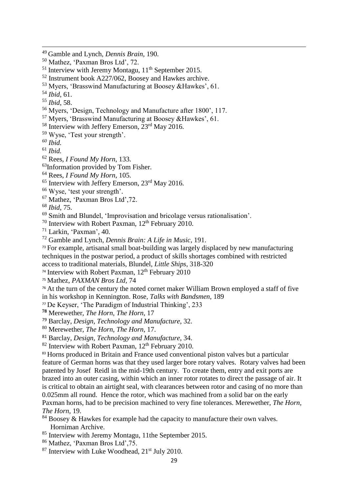Instrument book A227/062, Boosey and Hawkes archive.

*Ibid*, 58.

Myers, 'Design, Technology and Manufacture after 1800', 117.

Myers, 'Brasswind Manufacturing at Boosey &Hawkes', 61.

Interview with Jeffery Emerson,  $23<sup>rd</sup>$  May 2016.

Wyse, 'Test your strength'.

*Ibid.*

*Ibid.*

- Rees*, I Found My Horn*, 133.
- <sup>63</sup>Information provided by Tom Fisher.
- Rees, *I Found My Horn*, 105.
- <sup>65</sup> Interview with Jeffery Emerson, 23<sup>rd</sup> May 2016.
- Wyse, 'test your strength'.
- Mathez, 'Paxman Bros Ltd',72.

*Ibid*, 75.

Smith and Blundel, 'Improvisation and bricolage versus rationalisation'.

<sup>70</sup> Interview with Robert Paxman,  $12<sup>th</sup>$  February 2010.

Larkin, 'Paxman', 40.

Gamble and Lynch*, Dennis Brain: A Life in Music*, 191.

<sup>73</sup> For example, artisanal small boat-building was largely displaced by new manufacturing techniques in the postwar period, a product of skills shortages combined with restricted access to traditional materials, Blundel, *Little Ships,* 318-320

<sup>74</sup> Interview with Robert Paxman,  $12<sup>th</sup>$  February 2010

Mathez, *PAXMAN Bros Ltd,* 74

<sup>76</sup> At the turn of the century the noted cornet maker William Brown employed a staff of five in his workshop in Kennington. Rose, *Talks with Bandsmen*, 189

De Keyser, 'The Paradigm of Industrial Thinking', 233

Merewether, *The Horn, The Horn*, 17

Barclay, *Design, Technology and Manufacture*, 32.

Merewether, *The Horn, The Horn*, 17.

Barclay, *Design, Technology and Manufacture*, 34.

Interview with Robert Paxman,  $12<sup>th</sup>$  February 2010.

<sup>83</sup> Horns produced in Britain and France used conventional piston valves but a particular feature of German horns was that they used larger bore rotary valves. Rotary valves had been patented by Josef Reidl in the mid-19th century. To create them, entry and exit ports are brazed into an outer casing, within which an inner rotor rotates to direct the passage of air. It is critical to obtain an airtight seal, with clearances between rotor and casing of no more than 0.025mm all round. Hence the rotor, which was machined from a solid bar on the early Paxman horns, had to be precision machined to very fine tolerances. Merewether, *The Horn, The Horn*, 19.

 Boosey & Hawkes for example had the capacity to manufacture their own valves. Horniman Archive.

- <sup>85</sup> Interview with Jeremy Montagu, 11the September 2015.
- Mathez, 'Paxman Bros Ltd',75.
- Interview with Luke Woodhead,  $21<sup>st</sup>$  July 2010.

Gamble and Lynch*, Dennis Brain*, 190.

Mathez, 'Paxman Bros Ltd', 72.

Interview with Jeremy Montagu,  $11<sup>th</sup>$  September 2015.

Myers, 'Brasswind Manufacturing at Boosey &Hawkes', 61.

*Ibid*, 61.